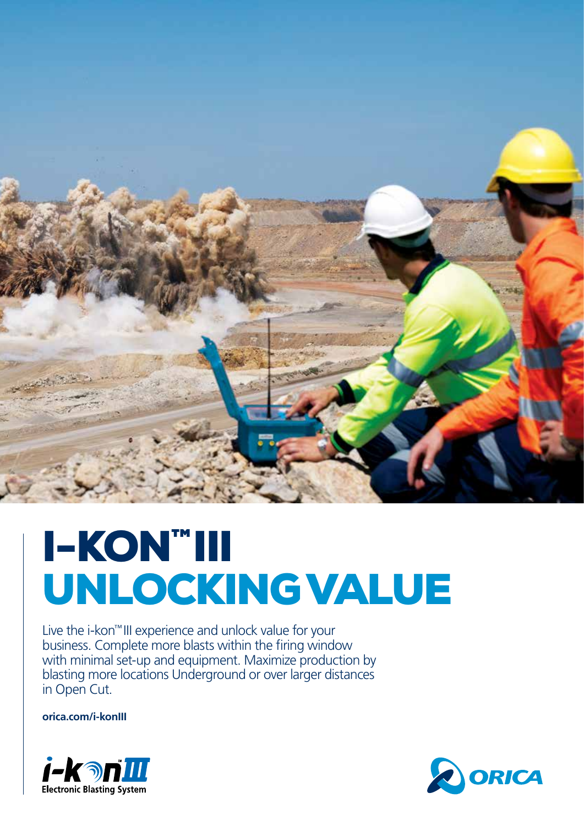

# I-KON™III UNLOCKING VALUE

Live the i-kon™III experience and unlock value for your business. Complete more blasts within the firing window with minimal set-up and equipment. Maximize production by blasting more locations Underground or over larger distances in Open Cut.

**orica.com/i-konIII**